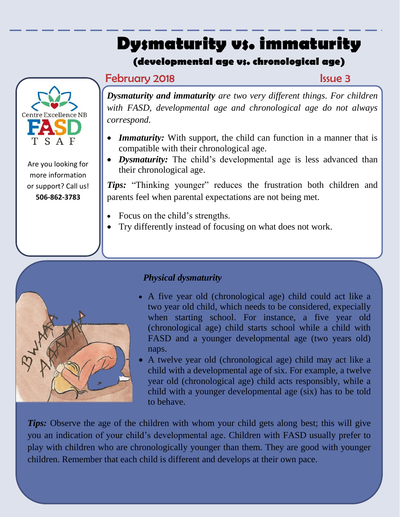# **Dysmaturity vs. immaturity**

## **(developmental age vs. chronological age)**

## **February 2018 Issue 3**



Are you looking for more information or support? Call us! **506-862-3783**

*Dysmaturity and immaturity are two very different things. For children with FASD, developmental age and chronological age do not always correspond.*

- *Immaturity:* With support, the child can function in a manner that is compatible with their chronological age.
- *Dysmaturity:* The child's developmental age is less advanced than their chronological age.

*Tips:* "Thinking younger" reduces the frustration both children and parents feel when parental expectations are not being met.

- Focus on the child's strengths.
- Try differently instead of focusing on what does not work.



## *Physical dysmaturity*

- A five year old (chronological age) child could act like a two year old child, which needs to be considered, expecially when starting school. For instance, a five year old (chronological age) child starts school while a child with FASD and a younger developmental age (two years old) naps.
- A twelve year old (chronological age) child may act like a child with a developmental age of six. For example, a twelve year old (chronological age) child acts responsibly, while a child with a younger developmental age (six) has to be told to behave.

*Tips:* Observe the age of the children with whom your child gets along best; this will give you an indication of your child's developmental age. Children with FASD usually prefer to play with children who are chronologically younger than them. They are good with younger children. Remember that each child is different and develops at their own pace.